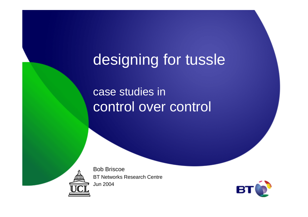# designing for tussle

## case studies incontrol over control

Bob Briscoe BT Networks Research CentreJun 2004

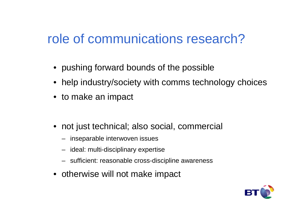#### role of communications research?

- pushing forward bounds of the possible
- help industry/society with comms technology choices
- to make an impact
- not just technical; also social, commercial
	- inseparable interwoven issues
	- ideal: multi-disciplinary expertise
	- sufficient: reasonable cross-discipline awareness
- otherwise will not make impact

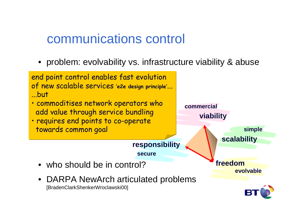#### communications control

• problem: evolvability vs. infrastructure viability & abuse

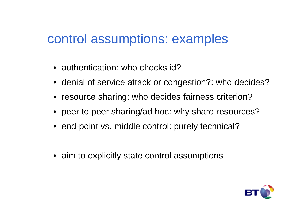#### control assumptions: examples

- authentication: who checks id?
- denial of service attack or congestion?: who decides?
- resource sharing: who decides fairness criterion?
- peer to peer sharing/ad hoc: why share resources?
- end-point vs. middle control: purely technical?
- aim to explicitly state control assumptions

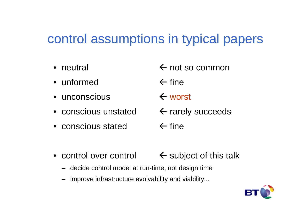#### control assumptions in typical papers

- neutral
- unformed
- unconscious
- conscious unstated
- conscious stated
- $\leftarrow$  not so common
- $\leftarrow$  fine
- worst
- $\leftarrow$  rarely succeeds
- $\leftarrow$  fine
- control over control  $\leftarrow$  subject of this talk
	- decide control model at run-time, not design time
	- improve infrastructure evolvability and viability...

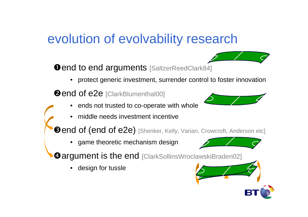#### evolution of evolvability research

 $\bullet$  end to end arguments [SaltzerReedClark84]

• protect generic investment, surrender control to foster innovation

**@end of e2e [ClarkBlumenthal00]** 

- •ends not trusted to co-operate with whole
- •middle needs investment incentive

**Oend of (end of e2e)** [Shenker, Kelly, Varian, Crowcroft, Anderson etc]

• game theoretic mechanism design

**Oargument is the end [ClarkSollinsWroclawskiBraden02]** 

•design for tussle





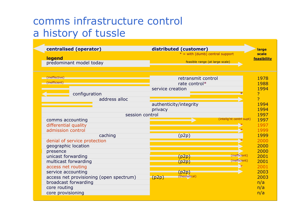#### comms infrastructure control a history of tussle

| centralised (operator)                                          | distributed (customer)            | large        |
|-----------------------------------------------------------------|-----------------------------------|--------------|
|                                                                 | $*$ = with (dumb) central support | scale        |
| <b>legend</b><br>predominant model today                        | feasible range (at large scale)   | feasibility  |
|                                                                 |                                   |              |
|                                                                 |                                   |              |
| $\Box$ (ineffective)                                            | retransmit control                | 1978         |
| (inefficient)                                                   | rate control*                     | 1988         |
|                                                                 | service creation                  | 1994         |
| configuration                                                   |                                   | ?            |
| address alloc                                                   |                                   | <sub>2</sub> |
|                                                                 | authenticity/integrity            | 1994         |
|                                                                 | privacy                           | 1994         |
| session control                                                 |                                   | 1997         |
| comms accounting                                                | (intellg'nt centrl supt)          | 1997         |
| differential quality                                            |                                   | 1997         |
| admission control                                               |                                   | 1999         |
| caching                                                         | (p2p)                             | 1999         |
| denial of service protection                                    |                                   | 2000         |
| geographic location                                             |                                   | 2000         |
| presence                                                        | (inefficient)                     | 2000         |
| unicast forwarding                                              | (p2p)<br>(inefficient)            | 2001<br>2001 |
| multicast forwarding                                            | (p2p)                             | 2001         |
| access net routing                                              |                                   | 2003         |
| service accounting                                              | (D2p)<br>(theoretical)            | 2003         |
| access net provisioning (open spectrum)<br>broadcast forwarding | (p2p)                             |              |
|                                                                 |                                   | n/a          |
| core routing<br>core provisioning                               |                                   | n/a<br>n/a   |
|                                                                 |                                   |              |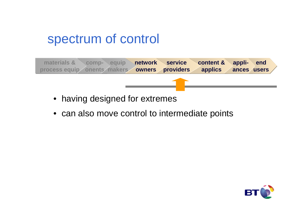#### spectrum of control



• can also move control to intermediate points

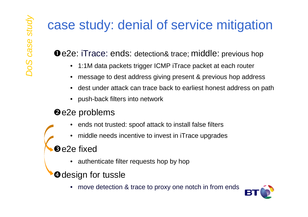# case study: denial of service mitigation

#### $\bullet$ e2e: iTrace: ends: detection& trace; middle: previous hop

- •1:1M data packets trigger ICMP iTrace packet at each router
- •message to dest address giving present & previous hop address
- dest under attack can trace back to earliest honest address on path
- push-back filters into network
- **@e2e problems** 
	- •ends not trusted: spoof attack to install false filters
	- •middle needs incentive to invest in iTrace upgrades

#### **Be2e fixed**

- authenticate filter requests hop by hop
- **O** design for tussle
	- move detection & trace to proxy one notch in from ends

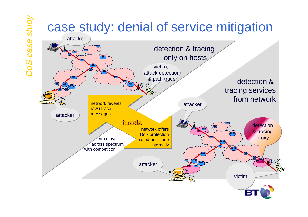

DoS case study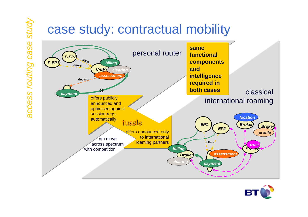# case study: contractual mobility

access routing case studyaccess routing case study



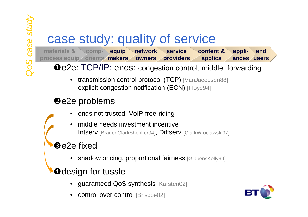# case study: quality of service

content & Qosse study: quality of service<br>  $\frac{6}{3}$  materials & comp- equip network service content & appli- end<br>  $\frac{6}{3}$  process equip onents makers owners providers applics ances users<br> **O** e2e: TCP/IP: ends: congestion control

 $\mathbf 0$ e $2$ e:  $\mathsf{TCP}$ /IP: ends: congestion control; middle: forwarding

• transmission control protocol (TCP) [VanJacobsen88] explicit congestion notification (ECN) [Floyd94]

#### **@e2e problems**

- •ends not trusted: VoIP free-riding
- • middle needs investment incentive**Intserv** [BradenClarkShenker94]**, Diffserv** [ClarkWroclawski97]

#### **Be2e fixed**

• shadow pricing, proportional fairness [GibbensKelly99]

#### **O** design for tussle

- guaranteed QoS synthesis [Karsten02]
- •control over control [Briscoe02]

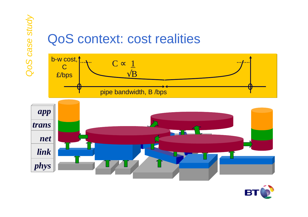#### QoS context: cost realities



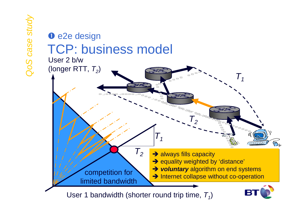# User 2 b/w $\frac{1}{25}$ <br>  $\frac{1}{25}$ <br>  $\frac{1}{25}$ <br>  $\frac{1}{25}$ <br>  $\frac{1}{25}$ <br>  $\frac{1}{25}$ <br>  $\frac{1}{25}$ <br>  $\frac{1}{25}$ <br>  $\frac{1}{25}$ <br>  $\frac{1}{25}$ <br>  $\frac{1}{25}$ <br>  $\frac{1}{25}$ <br>  $\frac{1}{25}$ <br>  $\frac{1}{25}$ <br>  $\frac{1}{25}$ <br>  $\frac{1}{25}$ <br>  $\frac{1}{25}$ <br>  $\frac{1}{25}$ <br>  $\frac{1$ TCP: business model



User 1 bandwidth (shorter round trip time,  $\, \mathcal{T}_\eta \,$ 

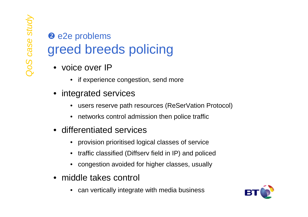#### **a** e2e problems greed breeds policing

- voice over IP
	- $\bullet$ if experience congestion, send more
- integrated services
	- users reserve path resources (ReSerVation Protocol)
	- $\bullet$ networks control admission then police traffic
- differentiated services
	- provision prioritised logical classes of service
	- traffic classified (Diffserv field in IP) and policed
	- congestion avoided for higher classes, usually
- middle takes control
	- •can vertically integrate with media business

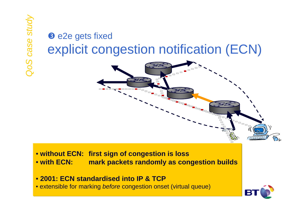# $\frac{1}{2}$ <br>  $\frac{1}{2}$ <br>  $\frac{1}{2}$ <br>  $\frac{1}{2}$ <br>  $\frac{1}{2}$ <br>  $\frac{1}{2}$ <br>  $\frac{1}{2}$ <br>  $\frac{1}{2}$



• **without ECN: first sign of congestion is loss**

- **with ECN: mark packets randomly as congestion builds**• with ECN:
- **2001: ECN standardised into IP & TCP**
- $\bullet$  extensible for marking *before* congestion onset (virtual queue)

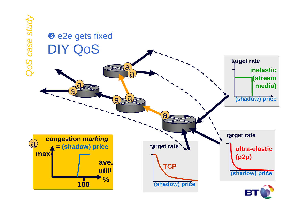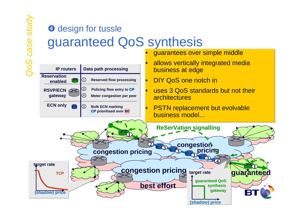#### **design for tussle** guaranteed QoS synthesis•

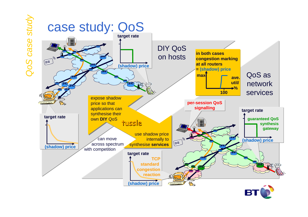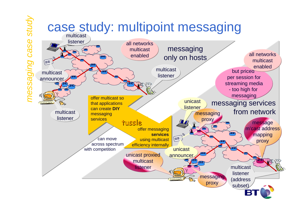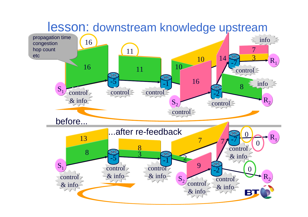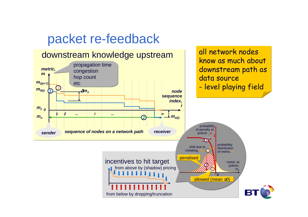## packet re-feedback

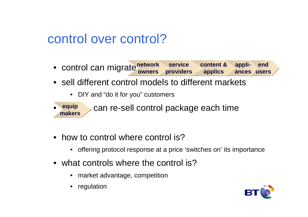#### control over control?

- control can migrate **network ownersservice providerscontent & applicsappliances**i- end<br>s u<mark>sers</mark>
- sell different control models to different markets
	- DIY and "do it for you" customers



- $\,$  can re-sell control package each time
- how to control where control is?
	- offering protocol response at a price 'switches on' its importance
- what controls where the control is?
	- market advantage, competition
	- regulation

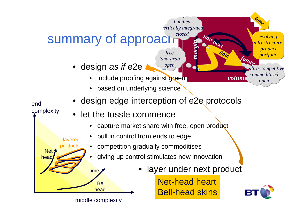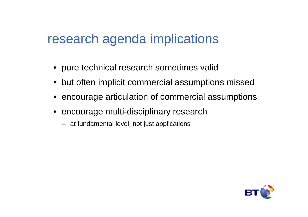#### research agenda implications

- pure technical research sometimes valid
- but often implicit commercial assumptions missed
- encourage articulation of commercial assumptions
- encourage multi-disciplinary research
	- at fundamental level, not just applications

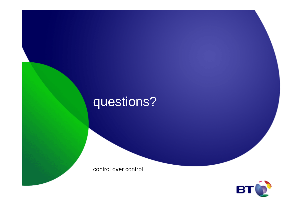# questions?

control over control

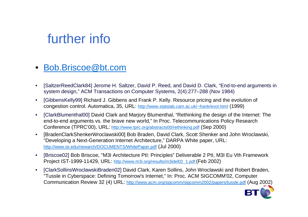#### further info

- •Bob.Briscoe@bt.com
- • [SaltzerReedClark84] Jerome H. Saltzer, David P. Reed, and David D. Clark, "End-to-end arguments in system design," ACM Transactions on Computer Systems, 2(4):277–288 (Nov 1984)
- • [GibbensKelly99] Richard J. Gibbens and Frank P. Kelly. Resource pricing and the evolution of congestion control. Automatica, 35, URL: http://www.statslab.cam.ac.uk/~frank/evol.html (1999)
- • [ClarkBlumenthal00] David Clark and Marjory Blumenthal, "Rethinking the design of the Internet: The end-to-end arguments vs. the brave new world," In Proc. Telecommunications Policy Research Conference (TPRC'00), URL: <u>http://www.tprc.org/abstracts00/rethinking.pdf</u> (Sep 2000)
- • [BradenClarkShenkerWroclawski00] Bob Braden, David Clark, Scott Shenker and John Wroclawski, "Developing a Next-Generation Internet Architecture," DARPA White paper, URL: http://www.isi.edu/newarch/DOCUMENTS/WhitePaper.pdf (Jul 2000)
- • [Briscoe02] Bob Briscoe, "M3I Architecture PtI: Principles" Deliverable 2 PtI, M3I Eu Vth Framework Project IST-1999-11429, URL: http://www.m3i.org/results/m3idel02\_1.pdf (Feb 2002)
- • [ClarkSollinsWroclawskiBraden02] David Clark, Karen Sollins, John Wroclawski and Robert Braden, "Tussle in Cyberspace: Defining Tomorrow's Internet," In: Proc. ACM SIGCOMM'02, Computer Communication Review 32 (4) URL: <u>http://www.acm.org/sigcomm/sigcomm2002/papers/tussle.pdf</u> (Aug 2002)

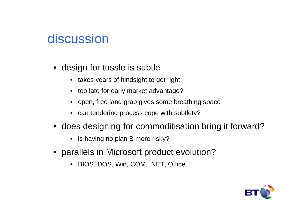#### discussion

- design for tussle is subtle
	- takes years of hindsight to get right
	- too late for early market advantage?
	- open, free land grab gives some breathing space
	- can tendering process cope with subtlety?
- does designing for commoditisation bring it forward?
	- is having no plan B more risky?
- parallels in Microsoft product evolution?
	- $\bullet$ BIOS, DOS, Win, COM, .NET, Office

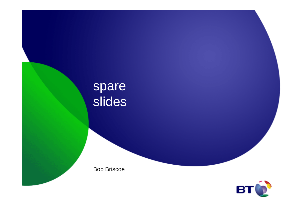#### spareslides

Bob Briscoe

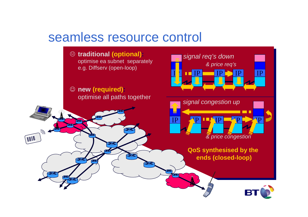#### seamless resource control

- **traditional (optional):** optimise ea subnet separatelye.g. Diffserv (open-loop)
- ☺ **new (required):** optimise all paths together

TITH





**QoS synthesised by theends (closed-loop)**